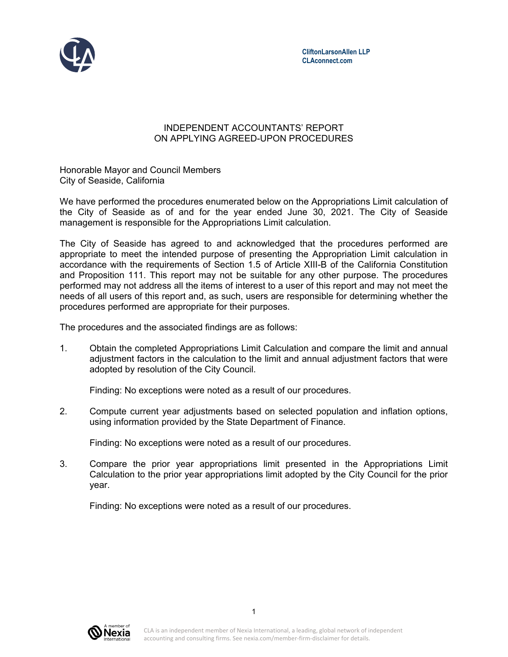

## INDEPENDENT ACCOUNTANTS' REPORT ON APPLYING AGREED-UPON PROCEDURES

Honorable Mayor and Council Members City of Seaside, California

We have performed the procedures enumerated below on the Appropriations Limit calculation of the City of Seaside as of and for the year ended June 30, 2021. The City of Seaside management is responsible for the Appropriations Limit calculation.

The City of Seaside has agreed to and acknowledged that the procedures performed are appropriate to meet the intended purpose of presenting the Appropriation Limit calculation in accordance with the requirements of Section 1.5 of Article XIII-B of the California Constitution and Proposition 111. This report may not be suitable for any other purpose. The procedures performed may not address all the items of interest to a user of this report and may not meet the needs of all users of this report and, as such, users are responsible for determining whether the procedures performed are appropriate for their purposes.

The procedures and the associated findings are as follows:

1. Obtain the completed Appropriations Limit Calculation and compare the limit and annual adjustment factors in the calculation to the limit and annual adjustment factors that were adopted by resolution of the City Council.

Finding: No exceptions were noted as a result of our procedures.

2. Compute current year adjustments based on selected population and inflation options, using information provided by the State Department of Finance.

Finding: No exceptions were noted as a result of our procedures.

3. Compare the prior year appropriations limit presented in the Appropriations Limit Calculation to the prior year appropriations limit adopted by the City Council for the prior year.

Finding: No exceptions were noted as a result of our procedures.